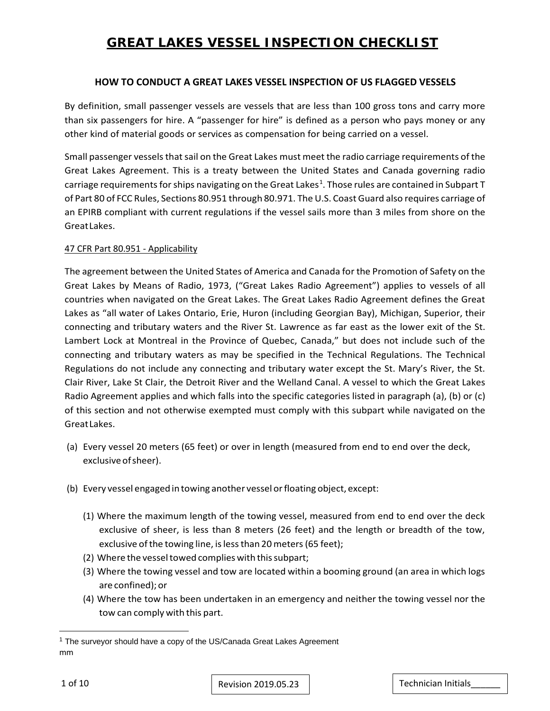### **HOW TO CONDUCT A GREAT LAKES VESSEL INSPECTION OF US FLAGGED VESSELS**

By definition, small passenger vessels are vessels that are less than 100 gross tons and carry more than six passengers for hire. A "passenger for hire" is defined as a person who pays money or any other kind of material goods or services as compensation for being carried on a vessel.

Small passenger vessels that sail on the Great Lakes must meet the radio carriage requirements of the Great Lakes Agreement. This is a treaty between the United States and Canada governing radio carriage requirements for ships navigating on the Great Lakes<sup>[1](#page-0-0)</sup>. Those rules are contained in Subpart T of Part 80 of FCC Rules, Sections 80.951 through 80.971. The U.S. Coast Guard also requires carriage of an EPIRB compliant with current regulations if the vessel sails more than 3 miles from shore on the GreatLakes.

#### 47 CFR Part 80.951 - Applicability

The agreement between the United States of America and Canada for the Promotion of Safety on the Great Lakes by Means of Radio, 1973, ("Great Lakes Radio Agreement") applies to vessels of all countries when navigated on the Great Lakes. The Great Lakes Radio Agreement defines the Great Lakes as "all water of Lakes Ontario, Erie, Huron (including Georgian Bay), Michigan, Superior, their connecting and tributary waters and the River St. Lawrence as far east as the lower exit of the St. Lambert Lock at Montreal in the Province of Quebec, Canada," but does not include such of the connecting and tributary waters as may be specified in the Technical Regulations. The Technical Regulations do not include any connecting and tributary water except the St. Mary's River, the St. Clair River, Lake St Clair, the Detroit River and the Welland Canal. A vessel to which the Great Lakes Radio Agreement applies and which falls into the specific categories listed in paragraph (a), (b) or (c) of this section and not otherwise exempted must comply with this subpart while navigated on the GreatLakes.

- (a) Every vessel 20 meters (65 feet) or over in length (measured from end to end over the deck, exclusive of sheer).
- (b) Every vessel engaged in towing another vessel or floating object, except:
	- (1) Where the maximum length of the towing vessel, measured from end to end over the deck exclusive of sheer, is less than 8 meters (26 feet) and the length or breadth of the tow, exclusive of the towing line, is less than 20 meters (65 feet);
	- (2) Where the vessel towed complies with this subpart;
	- (3) Where the towing vessel and tow are located within a booming ground (an area in which logs are confined);or
	- (4) Where the tow has been undertaken in an emergency and neither the towing vessel nor the tow can comply with this part.

l

<span id="page-0-0"></span>mm <sup>1</sup> The surveyor should have a copy of the US/Canada Great Lakes Agreement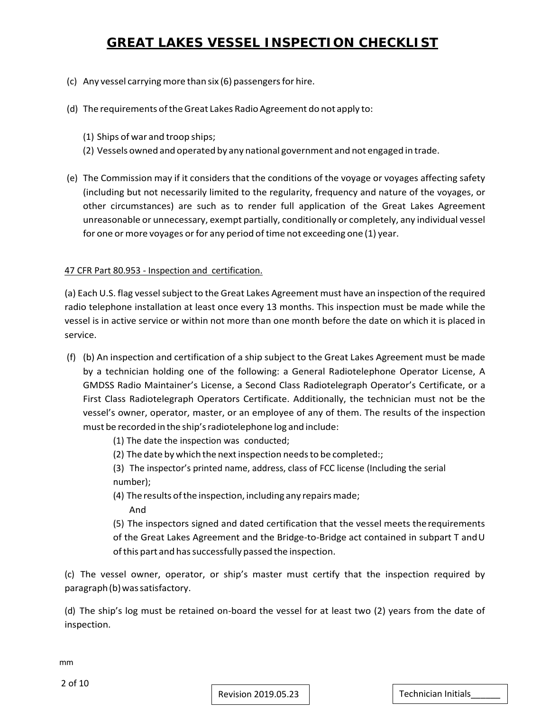- $(c)$  Any vessel carrying more than six  $(6)$  passengers for hire.
- (d) The requirements of the Great Lakes Radio Agreement do not apply to:
	- (1) Ships of war and troop ships;
	- (2) Vessels owned and operated by any national government and not engaged in trade.
- (e) The Commission may if it considers that the conditions of the voyage or voyages affecting safety (including but not necessarily limited to the regularity, frequency and nature of the voyages, or other circumstances) are such as to render full application of the Great Lakes Agreement unreasonable or unnecessary, exempt partially, conditionally or completely, any individual vessel for one or more voyages or for any period of time not exceeding one (1) year.

#### 47 CFR Part 80.953 - Inspection and certification.

(a) Each U.S. flag vessel subject to the Great Lakes Agreement must have an inspection of the required radio telephone installation at least once every 13 months. This inspection must be made while the vessel is in active service or within not more than one month before the date on which it is placed in service.

- (f) (b) An inspection and certification of a ship subject to the Great Lakes Agreement must be made by a technician holding one of the following: a General Radiotelephone Operator License, A GMDSS Radio Maintainer's License, a Second Class Radiotelegraph Operator's Certificate, or a First Class Radiotelegraph Operators Certificate. Additionally, the technician must not be the vessel's owner, operator, master, or an employee of any of them. The results of the inspection must be recorded in the ship'sradiotelephone log and include:
	- (1) The date the inspection was conducted;
	- (2) The date by which the next inspection needs to be completed:;

(3) The inspector's printed name, address, class of FCC license (Including the serial number);

(4) The results of the inspection, including any repairs made; And

(5) The inspectors signed and dated certification that the vessel meets therequirements of the Great Lakes Agreement and the Bridge-to-Bridge act contained in subpart T andU of this part and has successfully passed the inspection.

(c) The vessel owner, operator, or ship's master must certify that the inspection required by paragraph(b) was satisfactory.

(d) The ship's log must be retained on-board the vessel for at least two (2) years from the date of inspection.

mm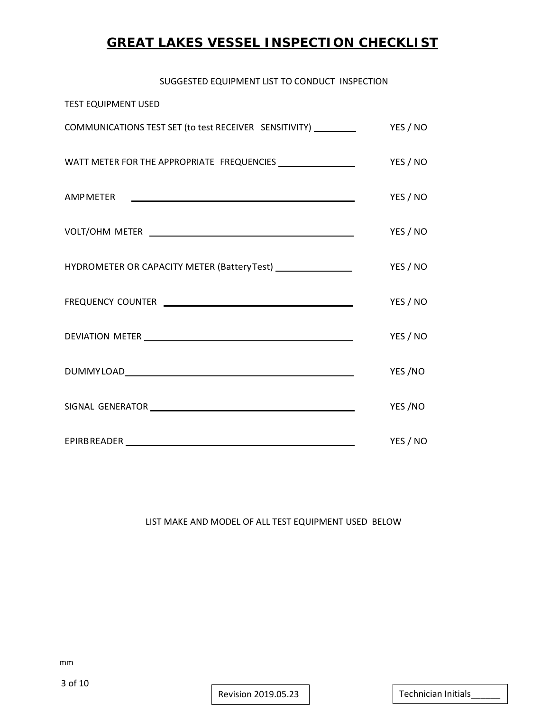#### SUGGESTED EQUIPMENT LIST TO CONDUCT INSPECTION

| <b>TEST EQUIPMENT USED</b>                                                                                                                                                                                                     |          |
|--------------------------------------------------------------------------------------------------------------------------------------------------------------------------------------------------------------------------------|----------|
| COMMUNICATIONS TEST SET (to test RECEIVER SENSITIVITY) _________                                                                                                                                                               | YES / NO |
| WATT METER FOR THE APPROPRIATE FREQUENCIES __________________                                                                                                                                                                  | YES / NO |
| AMP METER THE RESERVE THAT A REPORT OF THE RESERVE THAT A REPORT OF THE RESERVE THAT A REPORT OF THE RESERVE THAT A REPORT OF THE RESERVE THAT A REPORT OF THE RESERVE THAT A REPORT OF THE REPORT OF THE REPORT OF THE REPORT | YES / NO |
|                                                                                                                                                                                                                                | YES / NO |
| HYDROMETER OR CAPACITY METER (Battery Test) ___________________                                                                                                                                                                | YES / NO |
|                                                                                                                                                                                                                                | YES / NO |
|                                                                                                                                                                                                                                | YES / NO |
|                                                                                                                                                                                                                                | YES /NO  |
|                                                                                                                                                                                                                                | YES/NO   |
| EPIRBREADER NAME AND THE RESERVE TO A RESERVE THE RESERVE TO A RESERVE THE RESERVE THAT A RESERVE THE RESERVE                                                                                                                  | YES / NO |

#### LIST MAKE AND MODEL OF ALL TEST EQUIPMENT USED BELOW

Revision 2019.05.23 | Technician Initials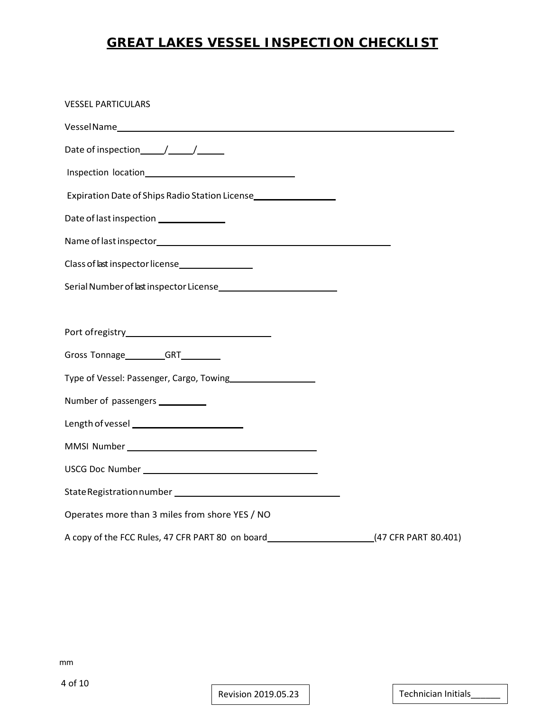| <b>VESSEL PARTICULARS</b>                                                                             |  |
|-------------------------------------------------------------------------------------------------------|--|
|                                                                                                       |  |
|                                                                                                       |  |
|                                                                                                       |  |
| Expiration Date of Ships Radio Station License                                                        |  |
| Date of last inspection ______________                                                                |  |
|                                                                                                       |  |
| Class of last inspector license                                                                       |  |
| Serial Number of last inspector License                                                               |  |
|                                                                                                       |  |
|                                                                                                       |  |
| Gross Tonnage_________GRT_________                                                                    |  |
| Type of Vessel: Passenger, Cargo, Towing                                                              |  |
| Number of passengers ___________                                                                      |  |
|                                                                                                       |  |
|                                                                                                       |  |
|                                                                                                       |  |
|                                                                                                       |  |
| Operates more than 3 miles from shore YES / NO                                                        |  |
| A copy of the FCC Rules, 47 CFR PART 80 on board_________________________________(47 CFR PART 80.401) |  |

mm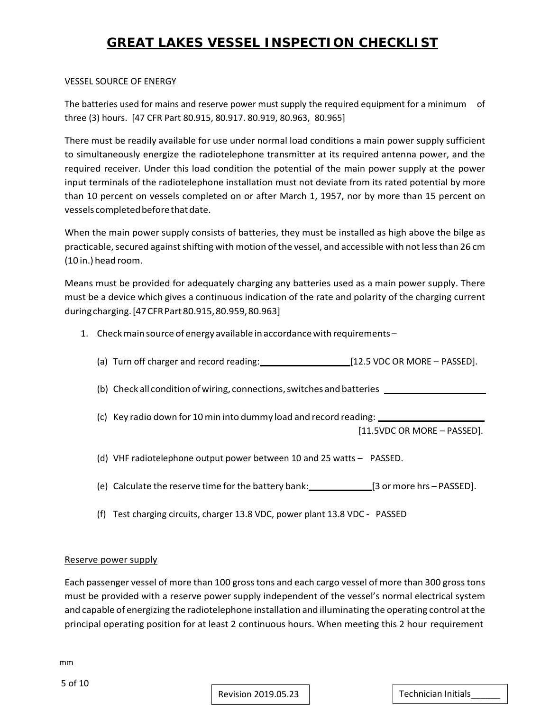#### VESSEL SOURCE OF ENERGY

The batteries used for mains and reserve power must supply the required equipment for a minimum of three (3) hours. [47 CFR Part 80.915, 80.917. 80.919, 80.963, 80.965]

There must be readily available for use under normal load conditions a main power supply sufficient to simultaneously energize the radiotelephone transmitter at its required antenna power, and the required receiver. Under this load condition the potential of the main power supply at the power input terminals of the radiotelephone installation must not deviate from its rated potential by more than 10 percent on vessels completed on or after March 1, 1957, nor by more than 15 percent on vessels completed before that date.

When the main power supply consists of batteries, they must be installed as high above the bilge as practicable, secured against shifting with motion of the vessel, and accessible with not less than 26 cm (10 in.) head room.

Means must be provided for adequately charging any batteries used as a main power supply. There must be a device which gives a continuous indication of the rate and polarity of the charging current duringcharging.[47CFRPart80.915,80.959,80.963]

- 1. Checkmain source of energy available in accordancewithrequirements
	- (a) Turn off charger and record reading: [12.5 VDC OR MORE PASSED].
	- (b) Check all condition of wiring, connections, switches and batteries \_
	- (c) Key radio down for 10 min into dummy load and record reading:

[11.5VDC OR MORE – PASSED].

(d) VHF radiotelephone output power between 10 and 25 watts – PASSED.

- (e) Calculate the reserve time for the battery bank: [3 or more hrs PASSED].
- (f) Test charging circuits, charger 13.8 VDC, power plant 13.8 VDC PASSED

#### Reserve power supply

Each passenger vessel of more than 100 grosstons and each cargo vessel of more than 300 grosstons must be provided with a reserve power supply independent of the vessel's normal electrical system and capable of energizing the radiotelephone installation and illuminating the operating control atthe principal operating position for at least 2 continuous hours. When meeting this 2 hour requirement

mm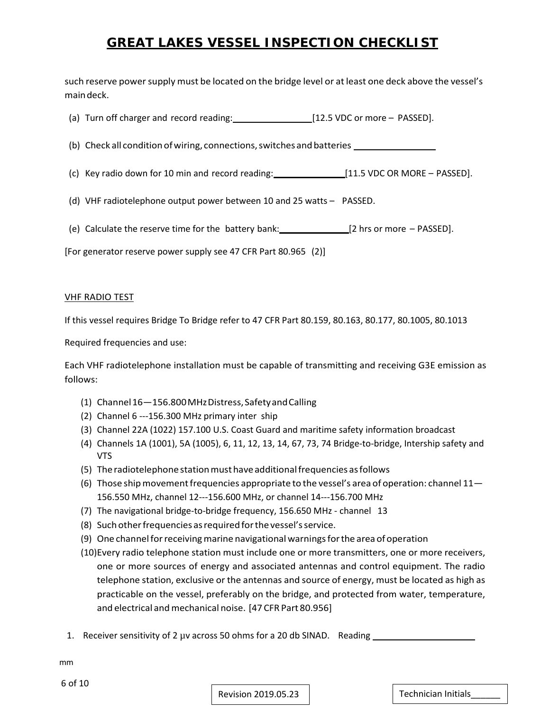such reserve power supply must be located on the bridge level or at least one deck above the vessel's maindeck.

- (a) Turn off charger and record reading: [12.5 VDC or more PASSED].
- (b) Check all condition ofwiring, connections,switches and batteries
- (c) Key radio down for 10 min and record reading: [11.5 VDC OR MORE PASSED].
- (d) VHF radiotelephone output power between 10 and 25 watts PASSED.
- (e) Calculate the reserve time for the battery bank: [2 hrs or more PASSED].

[For generator reserve power supply see 47 CFR Part 80.965 (2)]

#### VHF RADIO TEST

If this vessel requires Bridge To Bridge refer to 47 CFR Part 80.159, 80.163, 80.177, 80.1005, 80.1013

Required frequencies and use:

Each VHF radiotelephone installation must be capable of transmitting and receiving G3E emission as follows:

- (1) Channel16—156.800MHzDistress,SafetyandCalling
- (2) Channel 6 ---156.300 MHz primary inter ship
- (3) Channel 22A (1022) 157.100 U.S. Coast Guard and maritime safety information broadcast
- (4) Channels 1A (1001), 5A (1005), 6, 11, 12, 13, 14, 67, 73, 74 Bridge-to-bridge, Intership safety and VTS
- (5) The radiotelephone station must have additional frequencies as follows
- (6) Those ship movement frequencies appropriate to the vessel's area of operation: channel  $11-$ 156.550 MHz, channel 12---156.600 MHz, or channel 14---156.700 MHz
- (7) The navigational bridge-to-bridge frequency, 156.650 MHz channel 13
- (8) Such other frequencies as required for the vessel's service.
- (9) One channelforreceivingmarine navigational warningsforthe area of operation
- (10)Every radio telephone station must include one or more transmitters, one or more receivers, one or more sources of energy and associated antennas and control equipment. The radio telephone station, exclusive or the antennas and source of energy, must be located as high as practicable on the vessel, preferably on the bridge, and protected from water, temperature, and electrical and mechanical noise. [47 CFR Part 80.956]
- 1. Receiver sensitivity of 2 µv across 50 ohms for a 20 db SINAD. Reading \_\_\_\_\_\_

mm

Revision 2019.05.23 Technician Initials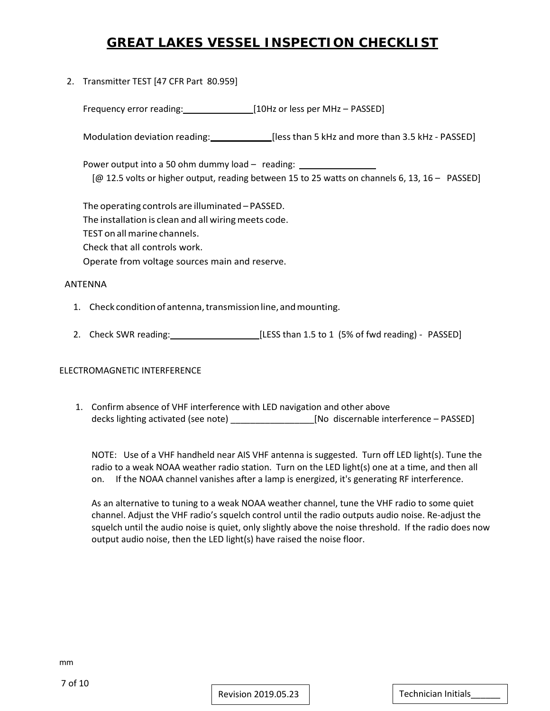2. Transmitter TEST [47 CFR Part 80.959]

Frequency error reading: [10Hz or less per MHz – PASSED]

Modulation deviation reading: [less than 5 kHz and more than 3.5 kHz - PASSED]

Power output into a 50 ohm dummy load – reading: [@ 12.5 volts or higher output, reading between 15 to 25 watts on channels 6, 13, 16 – PASSED]

The operating controls are illuminated – PASSED. The installation is clean and all wiring meets code. TEST on allmarine channels. Check that all controls work. Operate from voltage sources main and reserve.

#### ANTENNA

- 1. Check condition of antenna, transmission line, and mounting.
- 2. Check SWR reading: [LESS than 1.5 to 1 (5% of fwd reading) PASSED]

#### ELECTROMAGNETIC INTERFERENCE

1. Confirm absence of VHF interference with LED navigation and other above decks lighting activated (see note) \_\_\_\_\_\_\_\_\_\_\_\_\_\_\_\_\_\_\_\_\_\_\_[No discernable interference - PASSED]

NOTE: Use of a VHF handheld near AIS VHF antenna is suggested. Turn off LED light(s). Tune the radio to a weak NOAA weather radio station. Turn on the LED light(s) one at a time, and then all on. If the NOAA channel vanishes after a lamp is energized, it's generating RF interference.

As an alternative to tuning to a weak NOAA weather channel, tune the VHF radio to some quiet channel. Adjust the VHF radio's squelch control until the radio outputs audio noise. Re-adjust the squelch until the audio noise is quiet, only slightly above the noise threshold. If the radio does now output audio noise, then the LED light(s) have raised the noise floor.

mm

Revision 2019.05.23 Technician Initials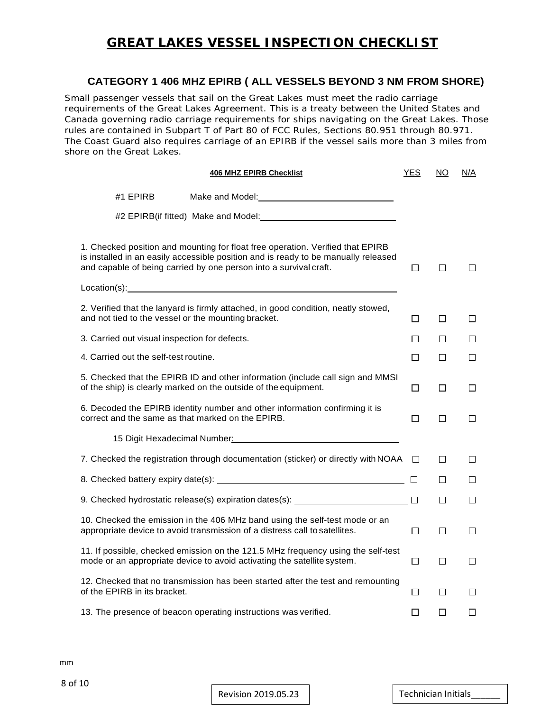### **CATEGORY 1 406 MHZ EPIRB ( ALL VESSELS BEYOND 3 NM FROM SHORE)**

Small passenger vessels that sail on the Great Lakes must meet the radio carriage requirements of the Great Lakes Agreement. This is a treaty between the United States and Canada governing radio carriage requirements for ships navigating on the Great Lakes. Those rules are contained in Subpart T of Part 80 of FCC Rules, Sections 80.951 through 80.971. The Coast Guard also requires carriage of an EPIRB if the vessel sails more than 3 miles from shore on the Great Lakes.

| <b>406 MHZ EPIRB Checklist</b>                                                                                                                                                                                                            | <b>YES</b> | NO.    | N/A     |
|-------------------------------------------------------------------------------------------------------------------------------------------------------------------------------------------------------------------------------------------|------------|--------|---------|
| #1 EPIRB                                                                                                                                                                                                                                  |            |        |         |
| #2 EPIRB(if fitted) Make and Model:                                                                                                                                                                                                       |            |        |         |
| 1. Checked position and mounting for float free operation. Verified that EPIRB<br>is installed in an easily accessible position and is ready to be manually released<br>and capable of being carried by one person into a survival craft. | $\Box$     | $\Box$ | IJ      |
|                                                                                                                                                                                                                                           |            |        |         |
| 2. Verified that the lanyard is firmly attached, in good condition, neatly stowed,<br>and not tied to the vessel or the mounting bracket.                                                                                                 | $\Box$     | П      | □       |
| 3. Carried out visual inspection for defects.                                                                                                                                                                                             | П          | П      | П       |
| 4. Carried out the self-test routine.                                                                                                                                                                                                     | П          | П      | П       |
| 5. Checked that the EPIRB ID and other information (include call sign and MMSI<br>of the ship) is clearly marked on the outside of the equipment.                                                                                         | $\Box$     | □      | $\Box$  |
| 6. Decoded the EPIRB identity number and other information confirming it is<br>correct and the same as that marked on the EPIRB.                                                                                                          | □          | □      | □       |
|                                                                                                                                                                                                                                           |            |        |         |
| 7. Checked the registration through documentation (sticker) or directly with NOAA                                                                                                                                                         | $\Box$     | $\Box$ | $\Box$  |
|                                                                                                                                                                                                                                           |            | П      | $\perp$ |
| 9. Checked hydrostatic release(s) expiration dates(s): _________________________                                                                                                                                                          | $\Box$     | □      | □       |
| 10. Checked the emission in the 406 MHz band using the self-test mode or an<br>appropriate device to avoid transmission of a distress call to satellites.                                                                                 | □          | $\Box$ | □       |
| 11. If possible, checked emission on the 121.5 MHz frequency using the self-test<br>mode or an appropriate device to avoid activating the satellite system.                                                                               | $\Box$     | □      | □       |
| 12. Checked that no transmission has been started after the test and remounting<br>of the EPIRB in its bracket.                                                                                                                           | $\Box$     | □      | $\Box$  |
| 13. The presence of beacon operating instructions was verified.                                                                                                                                                                           | П          | П      | П       |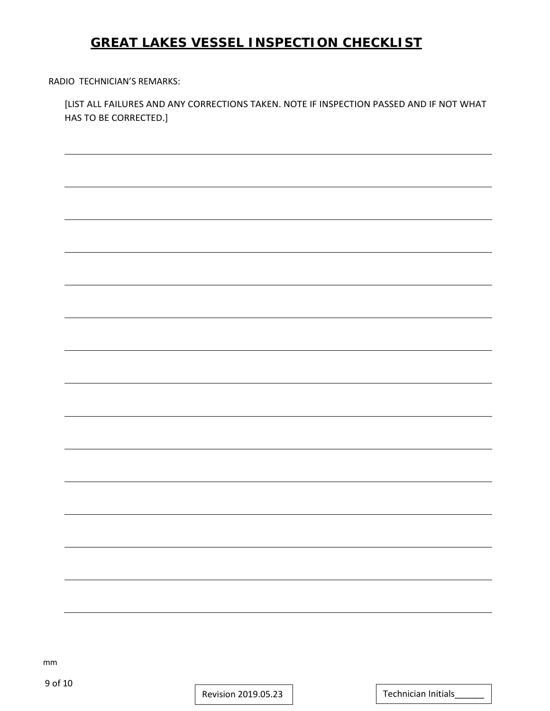RADIO TECHNICIAN'S REMARKS:

[LIST ALL FAILURES AND ANY CORRECTIONS TAKEN. NOTE IF INSPECTION PASSED AND IF NOT WHAT HAS TO BE CORRECTED.]

mm

Revision 2019.05.23 | Technician Initials